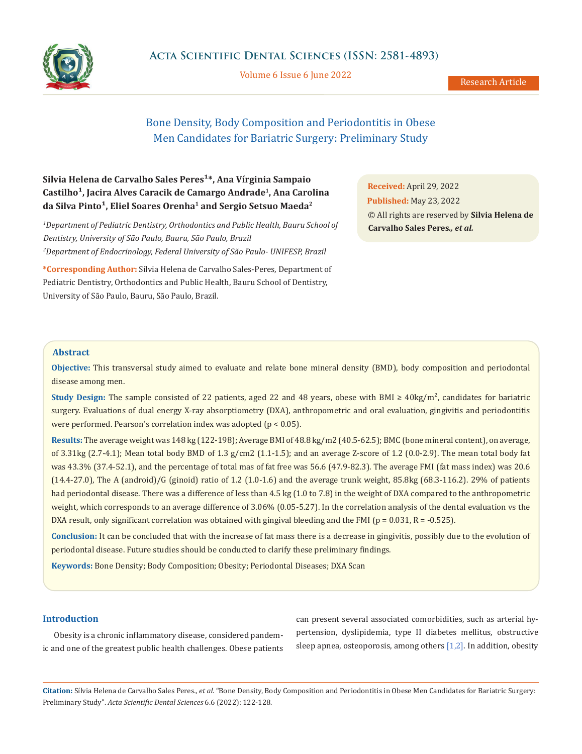

Volume 6 Issue 6 June 2022

# Bone Density, Body Composition and Periodontitis in Obese Men Candidates for Bariatric Surgery: Preliminary Study

## Silvia Helena de Carvalho Sales Peres<sup>1\*</sup>, Ana Vírginia Sampaio Castilho<sup>1</sup>, Jacira Alves Caracik de Camargo Andrade<sup>1</sup>, Ana Carolina da Silva Pinto<sup>1</sup>, Eliel Soares Orenha<sup>1</sup> and Sergio Setsuo Maeda<sup>2</sup>

*1 Department of Pediatric Dentistry, Orthodontics and Public Health, Bauru School of Dentistry, University of São Paulo, Bauru, São Paulo, Brazil 2 Department of Endocrinology, Federal University of São Paulo- UNIFESP, Brazil*

**\*Corresponding Author:** Sílvia Helena de Carvalho Sales-Peres, Department of Pediatric Dentistry, Orthodontics and Public Health, Bauru School of Dentistry, University of São Paulo, Bauru, São Paulo, Brazil.

**Received:** April 29, 2022 **Published:** May 23, 2022 © All rights are reserved by **Silvia Helena de Carvalho Sales Peres***., et al.*

## **Abstract**

**Objective:** This transversal study aimed to evaluate and relate bone mineral density (BMD), body composition and periodontal disease among men.

**Study Design:** The sample consisted of 22 patients, aged 22 and 48 years, obese with BMI ≥ 40kg/m², candidates for bariatric surgery. Evaluations of dual energy X-ray absorptiometry (DXA), anthropometric and oral evaluation, gingivitis and periodontitis were performed. Pearson's correlation index was adopted (p < 0.05).

**Results:** The average weight was 148 kg (122-198); Average BMI of 48.8 kg/m2 (40.5-62.5); BMC (bone mineral content), on average, of 3.31kg (2.7-4.1); Mean total body BMD of 1.3 g/cm2 (1.1-1.5); and an average Z-score of 1.2 (0.0-2.9). The mean total body fat was 43.3% (37.4-52.1), and the percentage of total mas of fat free was 56.6 (47.9-82.3). The average FMI (fat mass index) was 20.6  $(14.4-27.0)$ , The A (android)/G (ginoid) ratio of 1.2 (1.0-1.6) and the average trunk weight, 85.8kg (68.3-116.2). 29% of patients had periodontal disease. There was a difference of less than 4.5 kg (1.0 to 7.8) in the weight of DXA compared to the anthropometric weight, which corresponds to an average difference of 3.06% (0.05-5.27). In the correlation analysis of the dental evaluation vs the DXA result, only significant correlation was obtained with gingival bleeding and the FMI ( $p = 0.031$ ,  $R = -0.525$ ).

**Conclusion:** It can be concluded that with the increase of fat mass there is a decrease in gingivitis, possibly due to the evolution of periodontal disease. Future studies should be conducted to clarify these preliminary findings.

**Keywords:** Bone Density; Body Composition; Obesity; Periodontal Diseases; DXA Scan

## **Introduction**

Obesity is a chronic inflammatory disease, considered pandemic and one of the greatest public health challenges. Obese patients can present several associated comorbidities, such as arterial hypertension, dyslipidemia, type II diabetes mellitus, obstructive sleep apnea, osteoporosis, among others [1,2]. In addition, obesity

**Citation:** Sílvia Helena de Carvalho Sales Peres*., et al.* "Bone Density, Body Composition and Periodontitis in Obese Men Candidates for Bariatric Surgery: Preliminary Study". *Acta Scientific Dental Sciences* 6.6 (2022): 122-128.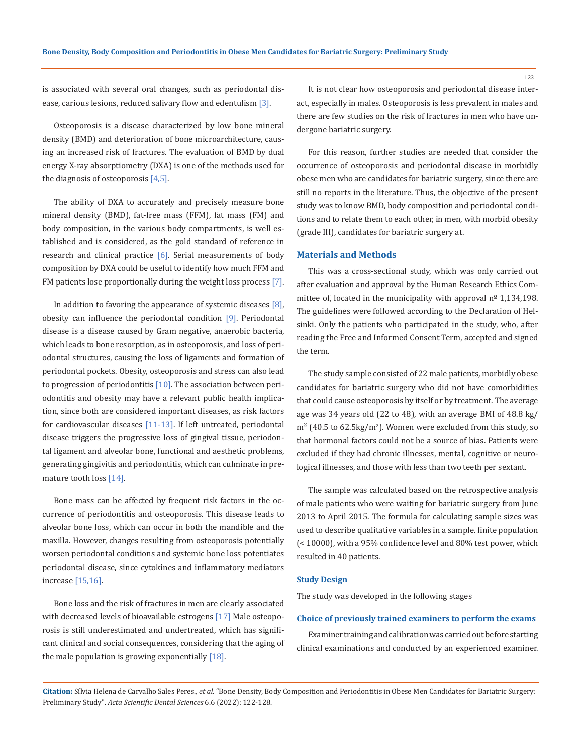is associated with several oral changes, such as periodontal disease, carious lesions, reduced salivary flow and edentulism [3].

Osteoporosis is a disease characterized by low bone mineral density (BMD) and deterioration of bone microarchitecture, causing an increased risk of fractures. The evaluation of BMD by dual energy X-ray absorptiometry (DXA) is one of the methods used for the diagnosis of osteoporosis [4,5].

The ability of DXA to accurately and precisely measure bone mineral density (BMD), fat-free mass (FFM), fat mass (FM) and body composition, in the various body compartments, is well established and is considered, as the gold standard of reference in research and clinical practice  $[6]$ . Serial measurements of body composition by DXA could be useful to identify how much FFM and FM patients lose proportionally during the weight loss process [7].

In addition to favoring the appearance of systemic diseases [8], obesity can influence the periodontal condition [9]. Periodontal disease is a disease caused by Gram negative, anaerobic bacteria, which leads to bone resorption, as in osteoporosis, and loss of periodontal structures, causing the loss of ligaments and formation of periodontal pockets. Obesity, osteoporosis and stress can also lead to progression of periodontitis  $[10]$ . The association between periodontitis and obesity may have a relevant public health implication, since both are considered important diseases, as risk factors for cardiovascular diseases  $[11-13]$ . If left untreated, periodontal disease triggers the progressive loss of gingival tissue, periodontal ligament and alveolar bone, functional and aesthetic problems, generating gingivitis and periodontitis, which can culminate in premature tooth loss [14].

Bone mass can be affected by frequent risk factors in the occurrence of periodontitis and osteoporosis. This disease leads to alveolar bone loss, which can occur in both the mandible and the maxilla. However, changes resulting from osteoporosis potentially worsen periodontal conditions and systemic bone loss potentiates periodontal disease, since cytokines and inflammatory mediators increase [15,16].

Bone loss and the risk of fractures in men are clearly associated with decreased levels of bioavailable estrogens [17] Male osteoporosis is still underestimated and undertreated, which has significant clinical and social consequences, considering that the aging of the male population is growing exponentially [18].

It is not clear how osteoporosis and periodontal disease interact, especially in males. Osteoporosis is less prevalent in males and there are few studies on the risk of fractures in men who have undergone bariatric surgery.

For this reason, further studies are needed that consider the occurrence of osteoporosis and periodontal disease in morbidly obese men who are candidates for bariatric surgery, since there are still no reports in the literature. Thus, the objective of the present study was to know BMD, body composition and periodontal conditions and to relate them to each other, in men, with morbid obesity (grade III), candidates for bariatric surgery at.

#### **Materials and Methods**

This was a cross-sectional study, which was only carried out after evaluation and approval by the Human Research Ethics Committee of, located in the municipality with approval  $n^{\circ}$  1,134,198. The guidelines were followed according to the Declaration of Helsinki. Only the patients who participated in the study, who, after reading the Free and Informed Consent Term, accepted and signed the term.

The study sample consisted of 22 male patients, morbidly obese candidates for bariatric surgery who did not have comorbidities that could cause osteoporosis by itself or by treatment. The average age was 34 years old (22 to 48), with an average BMI of 48.8 kg/ m² (40.5 to 62.5kg/m<sup>2</sup> ). Women were excluded from this study, so that hormonal factors could not be a source of bias. Patients were excluded if they had chronic illnesses, mental, cognitive or neurological illnesses, and those with less than two teeth per sextant.

The sample was calculated based on the retrospective analysis of male patients who were waiting for bariatric surgery from June 2013 to April 2015. The formula for calculating sample sizes was used to describe qualitative variables in a sample. finite population (< 10000), with a 95% confidence level and 80% test power, which resulted in 40 patients.

#### **Study Design**

The study was developed in the following stages

#### **Choice of previously trained examiners to perform the exams**

Examiner training and calibration was carried out before starting clinical examinations and conducted by an experienced examiner.

**Citation:** Sílvia Helena de Carvalho Sales Peres*., et al.* "Bone Density, Body Composition and Periodontitis in Obese Men Candidates for Bariatric Surgery: Preliminary Study". *Acta Scientific Dental Sciences* 6.6 (2022): 122-128.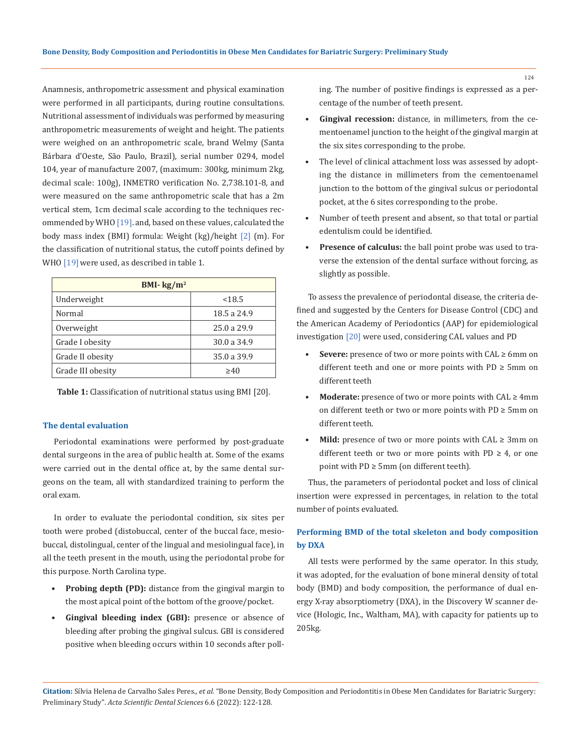Anamnesis, anthropometric assessment and physical examination were performed in all participants, during routine consultations. Nutritional assessment of individuals was performed by measuring anthropometric measurements of weight and height. The patients were weighed on an anthropometric scale, brand Welmy (Santa Bárbara d'Oeste, São Paulo, Brazil), serial number 0294, model 104, year of manufacture 2007, (maximum: 300kg, minimum 2kg, decimal scale: 100g), INMETRO verification No. 2,738.101-8, and were measured on the same anthropometric scale that has a 2m vertical stem, 1cm decimal scale according to the techniques recommended by WHO [19]. and, based on these values, calculated the body mass index (BMI) formula: Weight (kg)/height [2] (m). For the classification of nutritional status, the cutoff points defined by WHO [19] were used, as described in table 1.

| BMI- $kg/m2$      |             |  |  |
|-------------------|-------------|--|--|
| Underweight       | < 18.5      |  |  |
| Normal            | 18.5 a 24.9 |  |  |
| Overweight        | 25.0 a 29.9 |  |  |
| Grade I obesity   | 30.0 a 34.9 |  |  |
| Grade II obesity  | 35.0 a 39.9 |  |  |
| Grade III obesity | >40         |  |  |

**Table 1:** Classification of nutritional status using BMI [20].

#### **The dental evaluation**

Periodontal examinations were performed by post-graduate dental surgeons in the area of public health at. Some of the exams were carried out in the dental office at, by the same dental surgeons on the team, all with standardized training to perform the oral exam.

In order to evaluate the periodontal condition, six sites per tooth were probed (distobuccal, center of the buccal face, mesiobuccal, distolingual, center of the lingual and mesiolingual face), in all the teeth present in the mouth, using the periodontal probe for this purpose. North Carolina type.

- **• Probing depth (PD):** distance from the gingival margin to the most apical point of the bottom of the groove/pocket.
- **• Gingival bleeding index (GBI):** presence or absence of bleeding after probing the gingival sulcus. GBI is considered positive when bleeding occurs within 10 seconds after poll-

ing. The number of positive findings is expressed as a percentage of the number of teeth present.

- **• Gingival recession:** distance, in millimeters, from the cementoenamel junction to the height of the gingival margin at the six sites corresponding to the probe.
- The level of clinical attachment loss was assessed by adopting the distance in millimeters from the cementoenamel junction to the bottom of the gingival sulcus or periodontal pocket, at the 6 sites corresponding to the probe.
- Number of teeth present and absent, so that total or partial edentulism could be identified.
- **• Presence of calculus:** the ball point probe was used to traverse the extension of the dental surface without forcing, as slightly as possible.

To assess the prevalence of periodontal disease, the criteria defined and suggested by the Centers for Disease Control (CDC) and the American Academy of Periodontics (AAP) for epidemiological investigation [20] were used, considering CAL values and PD

- **• Severe:** presence of two or more points with CAL ≥ 6mm on different teeth and one or more points with  $PD \ge 5$ mm on different teeth
- **• Moderate:** presence of two or more points with CAL ≥ 4mm on different teeth or two or more points with PD ≥ 5mm on different teeth.
- **• Mild:** presence of two or more points with CAL ≥ 3mm on different teeth or two or more points with PD  $\geq$  4, or one point with PD ≥ 5mm (on different teeth).

Thus, the parameters of periodontal pocket and loss of clinical insertion were expressed in percentages, in relation to the total number of points evaluated.

## **Performing BMD of the total skeleton and body composition by DXA**

All tests were performed by the same operator. In this study, it was adopted, for the evaluation of bone mineral density of total body (BMD) and body composition, the performance of dual energy X-ray absorptiometry (DXA), in the Discovery W scanner device (Hologic, Inc., Waltham, MA), with capacity for patients up to 205kg.

**Citation:** Sílvia Helena de Carvalho Sales Peres*., et al.* "Bone Density, Body Composition and Periodontitis in Obese Men Candidates for Bariatric Surgery: Preliminary Study". *Acta Scientific Dental Sciences* 6.6 (2022): 122-128.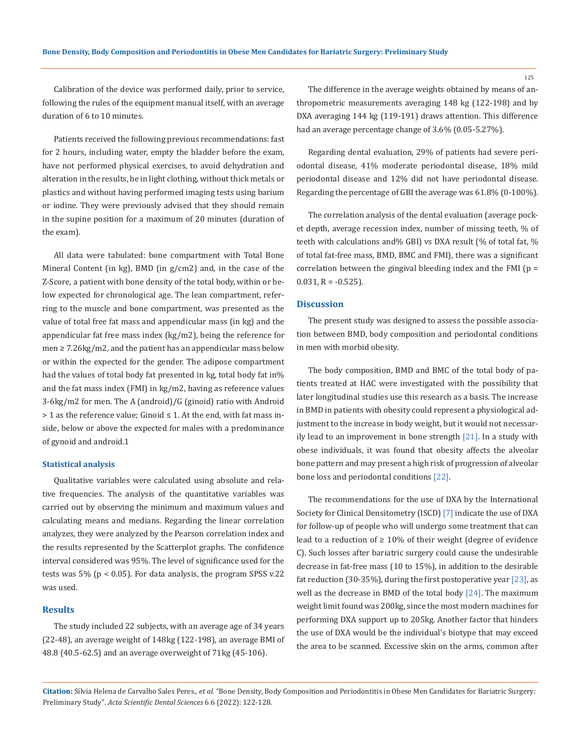Calibration of the device was performed daily, prior to service, following the rules of the equipment manual itself, with an average duration of 6 to 10 minutes.

Patients received the following previous recommendations: fast for 2 hours, including water, empty the bladder before the exam, have not performed physical exercises, to avoid dehydration and alteration in the results, be in light clothing, without thick metals or plastics and without having performed imaging tests using barium or iodine. They were previously advised that they should remain in the supine position for a maximum of 20 minutes (duration of the exam).

All data were tabulated: bone compartment with Total Bone Mineral Content (in kg), BMD (in g/cm2) and, in the case of the Z-Score, a patient with bone density of the total body, within or below expected for chronological age. The lean compartment, referring to the muscle and bone compartment, was presented as the value of total free fat mass and appendicular mass (in kg) and the appendicular fat free mass index (kg/m2), being the reference for men ≥ 7.26kg/m2, and the patient has an appendicular mass below or within the expected for the gender. The adipose compartment had the values of total body fat presented in kg, total body fat in% and the fat mass index (FMI) in kg/m2, having as reference values 3-6kg/m2 for men. The A (android)/G (ginoid) ratio with Android > 1 as the reference value; Ginoid ≤ 1. At the end, with fat mass inside, below or above the expected for males with a predominance of gynoid and android.1

#### **Statistical analysis**

Qualitative variables were calculated using absolute and relative frequencies. The analysis of the quantitative variables was carried out by observing the minimum and maximum values and calculating means and medians. Regarding the linear correlation analyzes, they were analyzed by the Pearson correlation index and the results represented by the Scatterplot graphs. The confidence interval considered was 95%. The level of significance used for the tests was 5% (p < 0.05). For data analysis, the program SPSS v.22 was used.

#### **Results**

The study included 22 subjects, with an average age of 34 years (22-48), an average weight of 148kg (122-198), an average BMI of 48.8 (40.5-62.5) and an average overweight of 71kg (45-106).

The difference in the average weights obtained by means of anthropometric measurements averaging 148 kg (122-198) and by DXA averaging 144 kg (119-191) draws attention. This difference had an average percentage change of 3.6% (0.05-5.27%).

Regarding dental evaluation, 29% of patients had severe periodontal disease, 41% moderate periodontal disease, 18% mild periodontal disease and 12% did not have periodontal disease. Regarding the percentage of GBI the average was 61.8% (0-100%).

The correlation analysis of the dental evaluation (average pocket depth, average recession index, number of missing teeth, % of teeth with calculations and% GBI) vs DXA result (% of total fat, % of total fat-free mass, BMD, BMC and FMI), there was a significant correlation between the gingival bleeding index and the FMI ( $p =$  $0.031, R = -0.525$ ).

#### **Discussion**

The present study was designed to assess the possible association between BMD, body composition and periodontal conditions in men with morbid obesity.

The body composition, BMD and BMC of the total body of patients treated at HAC were investigated with the possibility that later longitudinal studies use this research as a basis. The increase in BMD in patients with obesity could represent a physiological adjustment to the increase in body weight, but it would not necessarily lead to an improvement in bone strength  $[21]$ . In a study with obese individuals, it was found that obesity affects the alveolar bone pattern and may present a high risk of progression of alveolar bone loss and periodontal conditions [22].

The recommendations for the use of DXA by the International Society for Clinical Densitometry (ISCD) [7] indicate the use of DXA for follow-up of people who will undergo some treatment that can lead to a reduction of  $\geq 10\%$  of their weight (degree of evidence C). Such losses after bariatric surgery could cause the undesirable decrease in fat-free mass (10 to 15%), in addition to the desirable fat reduction (30-35%), during the first postoperative year [23], as well as the decrease in BMD of the total body  $[24]$ . The maximum weight limit found was 200kg, since the most modern machines for performing DXA support up to 205kg. Another factor that hinders the use of DXA would be the individual's biotype that may exceed the area to be scanned. Excessive skin on the arms, common after

**Citation:** Sílvia Helena de Carvalho Sales Peres*., et al.* "Bone Density, Body Composition and Periodontitis in Obese Men Candidates for Bariatric Surgery: Preliminary Study". *Acta Scientific Dental Sciences* 6.6 (2022): 122-128.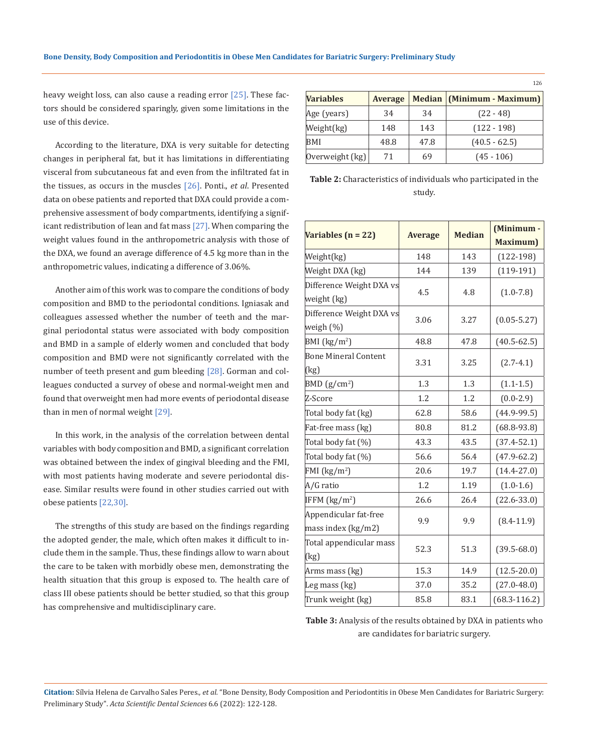heavy weight loss, can also cause a reading error [25]. These factors should be considered sparingly, given some limitations in the use of this device.

According to the literature, DXA is very suitable for detecting changes in peripheral fat, but it has limitations in differentiating visceral from subcutaneous fat and even from the infiltrated fat in the tissues, as occurs in the muscles [26]. Ponti., *et al*. Presented data on obese patients and reported that DXA could provide a comprehensive assessment of body compartments, identifying a significant redistribution of lean and fat mass [27]. When comparing the weight values found in the anthropometric analysis with those of the DXA, we found an average difference of 4.5 kg more than in the anthropometric values, indicating a difference of 3.06%.

Another aim of this work was to compare the conditions of body composition and BMD to the periodontal conditions. Igniasak and colleagues assessed whether the number of teeth and the marginal periodontal status were associated with body composition and BMD in a sample of elderly women and concluded that body composition and BMD were not significantly correlated with the number of teeth present and gum bleeding [28]. Gorman and colleagues conducted a survey of obese and normal-weight men and found that overweight men had more events of periodontal disease than in men of normal weight [29].

In this work, in the analysis of the correlation between dental variables with body composition and BMD, a significant correlation was obtained between the index of gingival bleeding and the FMI, with most patients having moderate and severe periodontal disease. Similar results were found in other studies carried out with obese patients [22,30].

The strengths of this study are based on the findings regarding the adopted gender, the male, which often makes it difficult to include them in the sample. Thus, these findings allow to warn about the care to be taken with morbidly obese men, demonstrating the health situation that this group is exposed to. The health care of class III obese patients should be better studied, so that this group has comprehensive and multidisciplinary care.

| <b>Variables</b>  | <b>Average</b> |      | Median (Minimum - Maximum) |
|-------------------|----------------|------|----------------------------|
| Age (years)       | 34             | 34   | $(22 - 48)$                |
| Weight(kg)        | 148            | 143  | $(122 - 198)$              |
| BMI               | 48.8           | 47.8 | $(40.5 - 62.5)$            |
| Overweight $(kg)$ | 71             | 69   | $(45 - 106)$               |

126

| <b>Table 2:</b> Characteristics of individuals who participated in the |  |
|------------------------------------------------------------------------|--|
| study.                                                                 |  |

| Variables $(n = 22)$                        |                | <b>Median</b> | (Minimum -       |  |
|---------------------------------------------|----------------|---------------|------------------|--|
|                                             | <b>Average</b> |               | Maximum)         |  |
| Weight(kg)                                  | 148            | 143           | $(122-198)$      |  |
| Weight DXA (kg)                             | 144            | 139           | $(119-191)$      |  |
| Difference Weight DXA vs<br>weight (kg)     | 4.5            | 4.8           | $(1.0 - 7.8)$    |  |
| Difference Weight DXA vs<br>weigh (%)       | 3.06           | 3.27          | $(0.05 - 5.27)$  |  |
| BMI (kg/m <sup>2</sup> )                    | 48.8           | 47.8          | $(40.5 - 62.5)$  |  |
| <b>Bone Mineral Content</b><br>(kg)         | 3.31           | 3.25          | $(2.7-4.1)$      |  |
| BMD (g/cm <sup>2</sup> )                    | 1.3            | 1.3           | $(1.1 - 1.5)$    |  |
| Z-Score                                     | 1.2            | 1.2           | $(0.0 - 2.9)$    |  |
| Total body fat (kg)                         | 62.8           | 58.6          | $(44.9-99.5)$    |  |
| Fat-free mass (kg)                          | 80.8           | 81.2          | $(68.8-93.8)$    |  |
| Total body fat (%)                          | 43.3           | 43.5          | $(37.4 - 52.1)$  |  |
| Total body fat (%)                          | 56.6           | 56.4          | $(47.9 - 62.2)$  |  |
| FMI (kg/m <sup>2</sup> )                    | 20.6           | 19.7          | $(14.4 - 27.0)$  |  |
| A/G ratio                                   | 1.2            | 1.19          | $(1.0-1.6)$      |  |
| IFFM $(kg/m2)$                              | 26.6           | 26.4          | $(22.6 - 33.0)$  |  |
| Appendicular fat-free<br>mass index (kg/m2) | 9.9            | 9.9           | $(8.4 - 11.9)$   |  |
| Total appendicular mass<br>(kg)             | 52.3           | 51.3          | $(39.5 - 68.0)$  |  |
| Arms mass (kg)                              | 15.3           | 14.9          | $(12.5 - 20.0)$  |  |
| Leg mass (kg)                               | 37.0           | 35.2          | $(27.0 - 48.0)$  |  |
| Trunk weight (kg)                           | 85.8           | 83.1          | $(68.3 - 116.2)$ |  |

**Table 3:** Analysis of the results obtained by DXA in patients who are candidates for bariatric surgery.

**Citation:** Sílvia Helena de Carvalho Sales Peres*., et al.* "Bone Density, Body Composition and Periodontitis in Obese Men Candidates for Bariatric Surgery: Preliminary Study". *Acta Scientific Dental Sciences* 6.6 (2022): 122-128.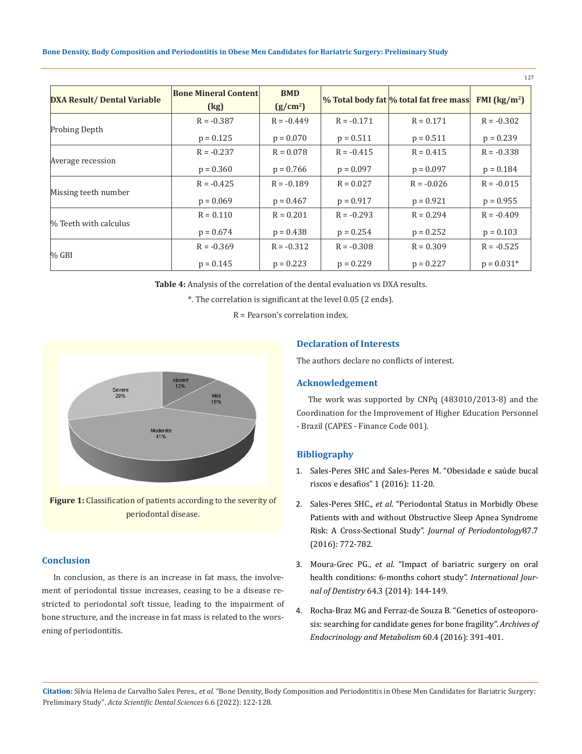#### **Bone Density, Body Composition and Periodontitis in Obese Men Candidates for Bariatric Surgery: Preliminary Study**

|                                    |                                                         |                                    |              |                                        | 127                                             |
|------------------------------------|---------------------------------------------------------|------------------------------------|--------------|----------------------------------------|-------------------------------------------------|
| <b>DXA Result/ Dental Variable</b> | <b>Bone Mineral Content</b><br>$\left(\text{kg}\right)$ | <b>BMD</b><br>(g/cm <sup>2</sup> ) |              | % Total body fat % total fat free mass | FMI $\left(\frac{\text{kg}}{\text{m}^2}\right)$ |
| Probing Depth                      | $R = -0.387$                                            | $R = -0.449$                       | $R = -0.171$ | $R = 0.171$                            | $R = -0.302$                                    |
|                                    | $p = 0.125$                                             | $p = 0.070$                        | $p = 0.511$  | $p = 0.511$                            | $p = 0.239$                                     |
| Average recession                  | $R = -0.237$                                            | $R = 0.078$                        | $R = -0.415$ | $R = 0.415$                            | $R = -0.338$                                    |
|                                    | $p = 0.360$                                             | $p = 0.766$                        | $p = 0.097$  | $p = 0.097$                            | $p = 0.184$                                     |
| Missing teeth number               | $R = -0.425$                                            | $R = -0.189$                       | $R = 0.027$  | $R = -0.026$                           | $R = -0.015$                                    |
|                                    | $p = 0.069$                                             | $p = 0.467$                        | $p = 0.917$  | $p = 0.921$                            | $p = 0.955$                                     |
| % Teeth with calculus              | $R = 0.110$                                             | $R = 0.201$                        | $R = -0.293$ | $R = 0.294$                            | $R = -0.409$                                    |
|                                    | $p = 0.674$                                             | $p = 0.438$                        | $p = 0.254$  | $p = 0.252$                            | $p = 0.103$                                     |
| $\%$ GBI                           | $R = -0.369$                                            | $R = -0.312$                       | $R = -0.308$ | $R = 0.309$                            | $R = -0.525$                                    |
|                                    | $p = 0.145$                                             | $p = 0.223$                        | $p = 0.229$  | $p = 0.227$                            | $p = 0.031*$                                    |

**Table 4:** Analysis of the correlation of the dental evaluation vs DXA results.

\*. The correlation is significant at the level 0.05 (2 ends).

R = Pearson's correlation index.



**Figure 1:** Classification of patients according to the severity of periodontal disease.

## **Conclusion**

In conclusion, as there is an increase in fat mass, the involvement of periodontal tissue increases, ceasing to be a disease restricted to periodontal soft tissue, leading to the impairment of bone structure, and the increase in fat mass is related to the worsening of periodontitis.

## **Declaration of Interests**

The authors declare no conflicts of interest.

## **Acknowledgement**

The work was supported by CNPq (483010/2013-8) and the Coordination for the Improvement of Higher Education Personnel - Brazil (CAPES - Finance Code 001).

## **Bibliography**

- 1. [Sales-Peres SHC and Sales-Peres M. "Obesidade e saúde bucal](https://www.researchgate.net/publication/302342250_Obesidade_e_Saude_Bucal_riscos_e_desafios)  [riscos e desafios" 1 \(2016\): 11-20.](https://www.researchgate.net/publication/302342250_Obesidade_e_Saude_Bucal_riscos_e_desafios)
- 2. Sales-Peres SHC., *et al*[. "Periodontal Status in Morbidly Obese](https://pubmed.ncbi.nlm.nih.gov/26991486/)  [Patients with and without Obstructive Sleep Apnea Syndrome](https://pubmed.ncbi.nlm.nih.gov/26991486/)  [Risk: A Cross-Sectional Study".](https://pubmed.ncbi.nlm.nih.gov/26991486/) *Journal of Periodontology*87.7 [\(2016\): 772-782.](https://pubmed.ncbi.nlm.nih.gov/26991486/)
- 3. Moura-Grec PG., *et al*[. "Impact of bariatric surgery on oral](https://pubmed.ncbi.nlm.nih.gov/24410073/)  [health conditions: 6-months cohort study".](https://pubmed.ncbi.nlm.nih.gov/24410073/) *International Journal of Dentistry* [64.3 \(2014\): 144-149.](https://pubmed.ncbi.nlm.nih.gov/24410073/)
- 4. [Rocha-Braz MG and Ferraz-de Souza B. "Genetics of osteoporo](https://pubmed.ncbi.nlm.nih.gov/27533615/)[sis: searching for candidate genes for bone fragility".](https://pubmed.ncbi.nlm.nih.gov/27533615/) *Archives of [Endocrinology and Metabolism](https://pubmed.ncbi.nlm.nih.gov/27533615/)* 60.4 (2016): 391-401.

**Citation:** Sílvia Helena de Carvalho Sales Peres*., et al.* "Bone Density, Body Composition and Periodontitis in Obese Men Candidates for Bariatric Surgery: Preliminary Study". *Acta Scientific Dental Sciences* 6.6 (2022): 122-128.